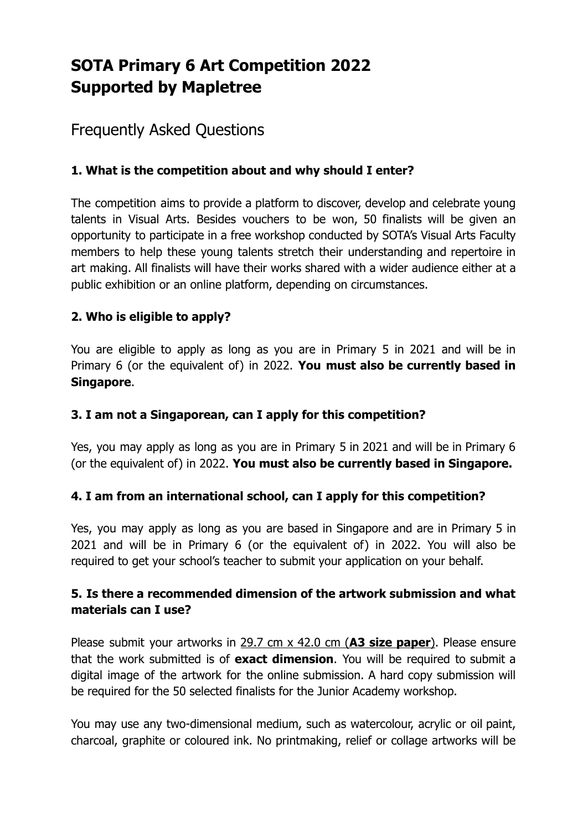# **SOTA Primary 6 Art Competition 2022 Supported by Mapletree**

# Frequently Asked Questions

# **1. What is the competition about and why should I enter?**

The competition aims to provide a platform to discover, develop and celebrate young talents in Visual Arts. Besides vouchers to be won, 50 finalists will be given an opportunity to participate in a free workshop conducted by SOTA's Visual Arts Faculty members to help these young talents stretch their understanding and repertoire in art making. All finalists will have their works shared with a wider audience either at a public exhibition or an online platform, depending on circumstances.

# **2. Who is eligible to apply?**

You are eligible to apply as long as you are in Primary 5 in 2021 and will be in Primary 6 (or the equivalent of) in 2022. **You must also be currently based in Singapore**.

# **3. I am not a Singaporean, can I apply for this competition?**

Yes, you may apply as long as you are in Primary 5 in 2021 and will be in Primary 6 (or the equivalent of) in 2022. **You must also be currently based in Singapore.**

# **4. I am from an international school, can I apply for this competition?**

Yes, you may apply as long as you are based in Singapore and are in Primary 5 in 2021 and will be in Primary 6 (or the equivalent of) in 2022. You will also be required to get your school's teacher to submit your application on your behalf.

# **5. Is there a recommended dimension of the artwork submission and what materials can I use?**

Please submit your artworks in 29.7 cm x 42.0 cm (**A3 size paper**). Please ensure that the work submitted is of **exact dimension**. You will be required to submit a digital image of the artwork for the online submission. A hard copy submission will be required for the 50 selected finalists for the Junior Academy workshop.

You may use any two-dimensional medium, such as watercolour, acrylic or oil paint, charcoal, graphite or coloured ink. No printmaking, relief or collage artworks will be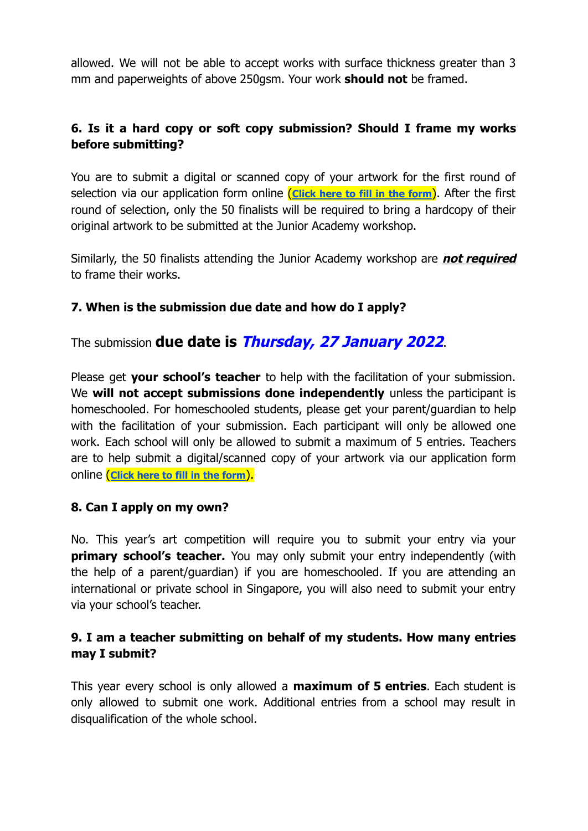allowed. We will not be able to accept works with surface thickness greater than 3 mm and paperweights of above 250gsm. Your work **should not** be framed.

# **6. Is it a hard copy or soft copy submission? Should I frame my works before submitting?**

You are to submit a digital or scanned copy of your artwork for the first round of selection via our application form online (**[Click](https://docs.google.com/forms/d/e/1FAIpQLScORifr-CQzFYOEDu3dVWMiEe8pFDeWBqmwXFvvgbMV8m3_Kg/viewform) here to fill in the form**). After the first round of selection, only the 50 finalists will be required to bring a hardcopy of their original artwork to be submitted at the Junior Academy workshop.

Similarly, the 50 finalists attending the Junior Academy workshop are **not required** to frame their works.

# **7. When is the submission due date and how do I apply?**

The submission **due date is Thursday, 27 January 2022**.

Please get **your school's teacher** to help with the facilitation of your submission. We **will not accept submissions done independently** unless the participant is homeschooled. For homeschooled students, please get your parent/guardian to help with the facilitation of your submission. Each participant will only be allowed one work. Each school will only be allowed to submit a maximum of 5 entries. Teachers are to help submit a digital/scanned copy of your artwork via our application form online (**[Click](https://docs.google.com/forms/d/e/1FAIpQLScORifr-CQzFYOEDu3dVWMiEe8pFDeWBqmwXFvvgbMV8m3_Kg/viewform) here to fill in the form**).

# **8. Can I apply on my own?**

No. This year's art competition will require you to submit your entry via your **primary school's teacher.** You may only submit your entry independently (with the help of a parent/guardian) if you are homeschooled. If you are attending an international or private school in Singapore, you will also need to submit your entry via your school's teacher.

# **9. I am a teacher submitting on behalf of my students. How many entries may I submit?**

This year every school is only allowed a **maximum of 5 entries**. Each student is only allowed to submit one work. Additional entries from a school may result in disqualification of the whole school.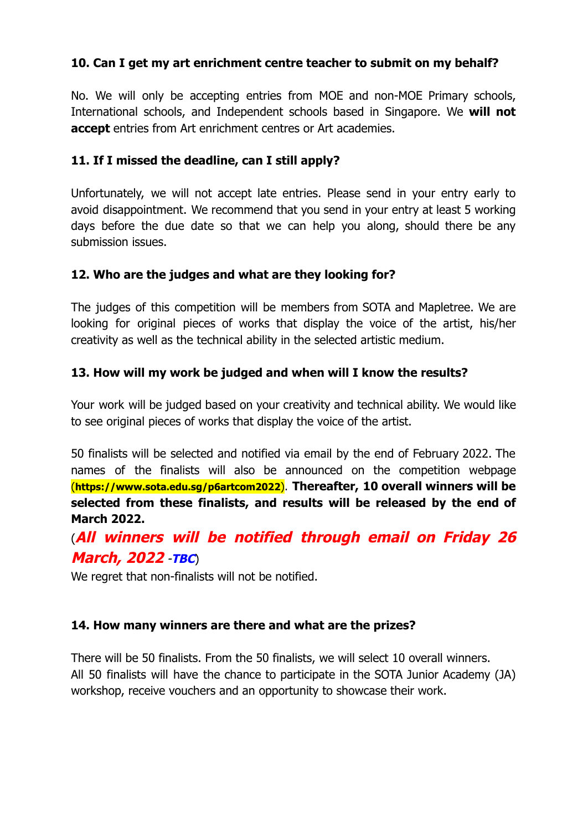#### **10. Can I get my art enrichment centre teacher to submit on my behalf?**

No. We will only be accepting entries from MOE and non-MOE Primary schools, International schools, and Independent schools based in Singapore. We **will not accept** entries from Art enrichment centres or Art academies.

#### **11. If I missed the deadline, can I still apply?**

Unfortunately, we will not accept late entries. Please send in your entry early to avoid disappointment. We recommend that you send in your entry at least 5 working days before the due date so that we can help you along, should there be any submission issues.

#### **12. Who are the judges and what are they looking for?**

The judges of this competition will be members from SOTA and Mapletree. We are looking for original pieces of works that display the voice of the artist, his/her creativity as well as the technical ability in the selected artistic medium.

#### **13. How will my work be judged and when will I know the results?**

Your work will be judged based on your creativity and technical ability. We would like to see original pieces of works that display the voice of the artist.

50 finalists will be selected and notified via email by the end of February 2022. The names of the finalists will also be announced on the competition webpage (**https://www.sota.edu.sg/p6artcom2022**). **Thereafter, 10 overall winners will be selected from these finalists, and results will be released by the end of March 2022.**

# (**All winners will be notified through email on Friday 26 March, 2022** -**TBC**)

We regret that non-finalists will not be notified.

#### **14. How many winners are there and what are the prizes?**

There will be 50 finalists. From the 50 finalists, we will select 10 overall winners. All 50 finalists will have the chance to participate in the SOTA Junior Academy (JA) workshop, receive vouchers and an opportunity to showcase their work.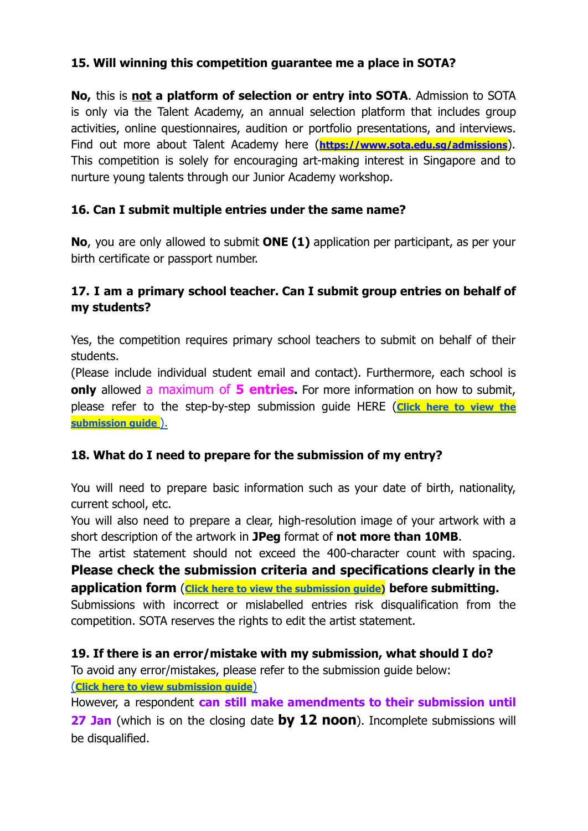# **15. Will winning this competition guarantee me a place in SOTA?**

**No,** this is **not a platform of selection or entry into SOTA**. Admission to SOTA is only via the Talent Academy, an annual selection platform that includes group activities, online questionnaires, audition or portfolio presentations, and interviews. Find out more about Talent Academy here (**<https://www.sota.edu.sg/admissions>**). This competition is solely for encouraging art-making interest in Singapore and to nurture young talents through our Junior Academy workshop.

# **16. Can I submit multiple entries under the same name?**

**No**, you are only allowed to submit **ONE (1)** application per participant, as per your birth certificate or passport number.

# **17. I am a primary school teacher. Can I submit group entries on behalf of my students?**

Yes, the competition requires primary school teachers to submit on behalf of their students.

(Please include individual student email and contact). Furthermore, each school is **only** allowed a maximum of **5 entries.** For more information on how to submit, please refer to the step-by-step submission guide HERE (**[Click](https://www.sota.edu.sg/docs/default-source/p6-art-competition/2022-submission-guide-for-primary-6-art-competition.pdf) here to view the [submission](https://www.sota.edu.sg/docs/default-source/p6-art-competition/2022-submission-guide-for-primary-6-art-competition.pdf) guide** ).

# **18. What do I need to prepare for the submission of my entry?**

You will need to prepare basic information such as your date of birth, nationality, current school, etc.

You will also need to prepare a clear, high-resolution image of your artwork with a short description of the artwork in **JPeg** format of **not more than 10MB**.

The artist statement should not exceed the 400-character count with spacing. **Please check the submission criteria and specifications clearly in the application form** (**Click here to view the [submission](https://www.sota.edu.sg/docs/default-source/p6-art-competition/2022-submission-guide-for-primary-6-art-competition.pdf) guide) before submitting.**

Submissions with incorrect or mislabelled entries risk disqualification from the competition. SOTA reserves the rights to edit the artist statement.

# **19. If there is an error/mistake with my submission, what should I do?**

To avoid any error/mistakes, please refer to the submission guide below:

(**Click here to view [submission](https://www.sota.edu.sg/docs/default-source/p6-art-competition/2022-submission-guide-for-primary-6-art-competition.pdf) guide**)

However, a respondent **can still make amendments to their submission until 27 Jan** (which is on the closing date **by 12 noon**). Incomplete submissions will be disqualified.